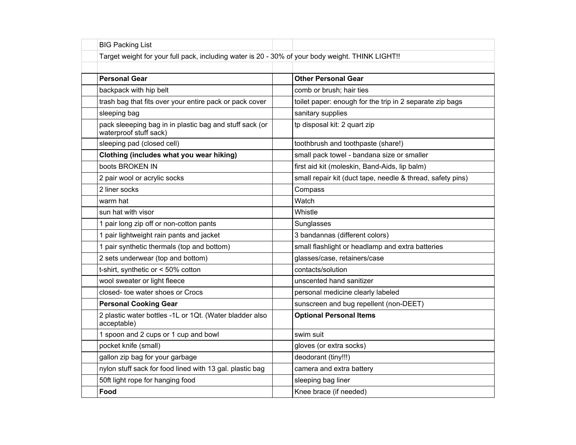| <b>BIG Packing List</b>                                                                          |                                                            |  |
|--------------------------------------------------------------------------------------------------|------------------------------------------------------------|--|
| Target weight for your full pack, including water is 20 - 30% of your body weight. THINK LIGHT!! |                                                            |  |
|                                                                                                  |                                                            |  |
| <b>Personal Gear</b>                                                                             | <b>Other Personal Gear</b>                                 |  |
| backpack with hip belt                                                                           | comb or brush; hair ties                                   |  |
| trash bag that fits over your entire pack or pack cover                                          | toilet paper: enough for the trip in 2 separate zip bags   |  |
| sleeping bag                                                                                     | sanitary supplies                                          |  |
| pack sleeeping bag in in plastic bag and stuff sack (or<br>waterproof stuff sack)                | tp disposal kit: 2 quart zip                               |  |
| sleeping pad (closed cell)                                                                       | toothbrush and toothpaste (share!)                         |  |
| Clothing (includes what you wear hiking)                                                         | small pack towel - bandana size or smaller                 |  |
| boots BROKEN IN                                                                                  | first aid kit (moleskin, Band-Aids, lip balm)              |  |
| 2 pair wool or acrylic socks                                                                     | small repair kit (duct tape, needle & thread, safety pins) |  |
| 2 liner socks                                                                                    | Compass                                                    |  |
| warm hat                                                                                         | Watch                                                      |  |
| sun hat with visor                                                                               | Whistle                                                    |  |
| 1 pair long zip off or non-cotton pants                                                          | Sunglasses                                                 |  |
| 1 pair lightweight rain pants and jacket                                                         | 3 bandannas (different colors)                             |  |
| 1 pair synthetic thermals (top and bottom)                                                       | small flashlight or headlamp and extra batteries           |  |
| 2 sets underwear (top and bottom)                                                                | glasses/case, retainers/case                               |  |
| t-shirt, synthetic or < 50% cotton                                                               | contacts/solution                                          |  |
| wool sweater or light fleece                                                                     | unscented hand sanitizer                                   |  |
| closed- toe water shoes or Crocs                                                                 | personal medicine clearly labeled                          |  |
| <b>Personal Cooking Gear</b>                                                                     | sunscreen and bug repellent (non-DEET)                     |  |
| 2 plastic water bottles -1L or 1Qt. (Water bladder also<br>acceptable)                           | <b>Optional Personal Items</b>                             |  |
| 1 spoon and 2 cups or 1 cup and bowl                                                             | swim suit                                                  |  |
| pocket knife (small)                                                                             | gloves (or extra socks)                                    |  |
| gallon zip bag for your garbage                                                                  | deodorant (tiny!!!)                                        |  |
| nylon stuff sack for food lined with 13 gal. plastic bag                                         | camera and extra battery                                   |  |
| 50ft light rope for hanging food                                                                 | sleeping bag liner                                         |  |
| Food                                                                                             | Knee brace (if needed)                                     |  |